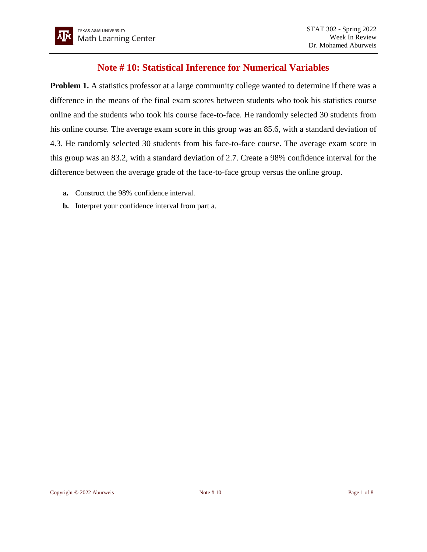## **Note # 10: Statistical Inference for Numerical Variables**

**Problem 1.** A statistics professor at a large community college wanted to determine if there was a difference in the means of the final exam scores between students who took his statistics course online and the students who took his course face-to-face. He randomly selected 30 students from his online course. The average exam score in this group was an 85.6, with a standard deviation of 4.3. He randomly selected 30 students from his face-to-face course. The average exam score in this group was an 83.2, with a standard deviation of 2.7. Create a 98% confidence interval for the difference between the average grade of the face-to-face group versus the online group.

- **a.** Construct the 98% confidence interval.
- **b.** Interpret your confidence interval from part a.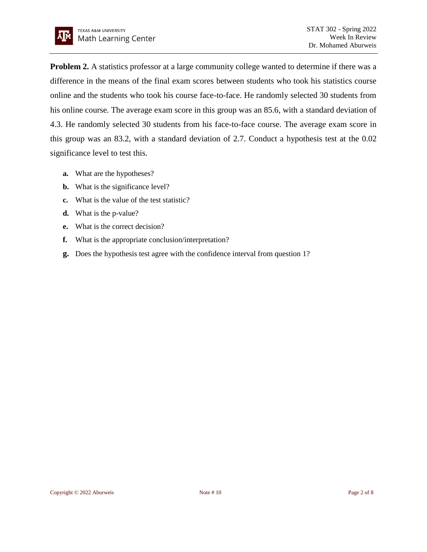**Problem 2.** A statistics professor at a large community college wanted to determine if there was a difference in the means of the final exam scores between students who took his statistics course online and the students who took his course face-to-face. He randomly selected 30 students from his online course. The average exam score in this group was an 85.6, with a standard deviation of 4.3. He randomly selected 30 students from his face-to-face course. The average exam score in this group was an 83.2, with a standard deviation of 2.7. Conduct a hypothesis test at the 0.02 significance level to test this.

- **a.** What are the hypotheses?
- **b.** What is the significance level?
- **c.** What is the value of the test statistic?
- **d.** What is the p-value?
- **e.** What is the correct decision?
- **f.** What is the appropriate conclusion/interpretation?
- **g.** Does the hypothesis test agree with the confidence interval from question 1?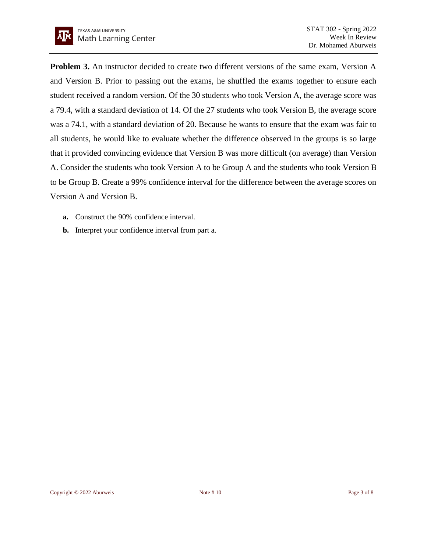**Problem 3.** An instructor decided to create two different versions of the same exam, Version A and Version B. Prior to passing out the exams, he shuffled the exams together to ensure each student received a random version. Of the 30 students who took Version A, the average score was a 79.4, with a standard deviation of 14. Of the 27 students who took Version B, the average score was a 74.1, with a standard deviation of 20. Because he wants to ensure that the exam was fair to all students, he would like to evaluate whether the difference observed in the groups is so large that it provided convincing evidence that Version B was more difficult (on average) than Version A. Consider the students who took Version A to be Group A and the students who took Version B to be Group B. Create a 99% confidence interval for the difference between the average scores on Version A and Version B.

- **a.** Construct the 90% confidence interval.
- **b.** Interpret your confidence interval from part a.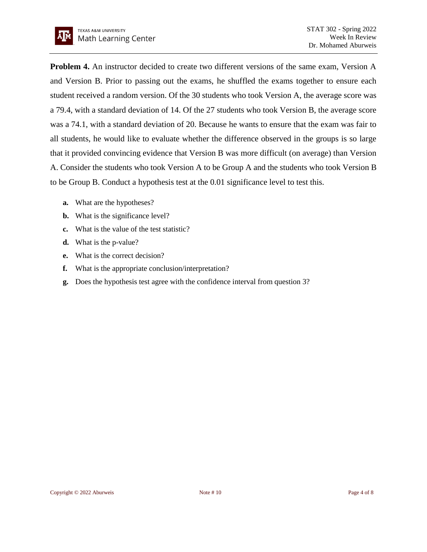**Problem 4.** An instructor decided to create two different versions of the same exam, Version A and Version B. Prior to passing out the exams, he shuffled the exams together to ensure each student received a random version. Of the 30 students who took Version A, the average score was a 79.4, with a standard deviation of 14. Of the 27 students who took Version B, the average score was a 74.1, with a standard deviation of 20. Because he wants to ensure that the exam was fair to all students, he would like to evaluate whether the difference observed in the groups is so large that it provided convincing evidence that Version B was more difficult (on average) than Version A. Consider the students who took Version A to be Group A and the students who took Version B to be Group B. Conduct a hypothesis test at the 0.01 significance level to test this.

- **a.** What are the hypotheses?
- **b.** What is the significance level?
- **c.** What is the value of the test statistic?
- **d.** What is the p-value?
- **e.** What is the correct decision?
- **f.** What is the appropriate conclusion/interpretation?
- **g.** Does the hypothesis test agree with the confidence interval from question 3?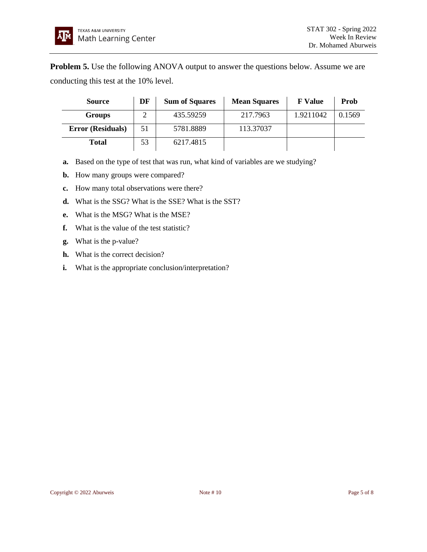**Problem 5.** Use the following ANOVA output to answer the questions below. Assume we are conducting this test at the 10% level.

| <b>Source</b>            | DF | <b>Sum of Squares</b> | <b>Mean Squares</b> | <b>F</b> Value | Prob   |
|--------------------------|----|-----------------------|---------------------|----------------|--------|
| <b>Groups</b>            |    | 435.59259             | 217.7963            | 1.9211042      | 0.1569 |
| <b>Error (Residuals)</b> | 51 | 5781.8889             | 113.37037           |                |        |
| <b>Total</b>             | 53 | 6217.4815             |                     |                |        |

- **a.** Based on the type of test that was run, what kind of variables are we studying?
- **b.** How many groups were compared?
- **c.** How many total observations were there?
- **d.** What is the SSG? What is the SSE? What is the SST?
- **e.** What is the MSG? What is the MSE?
- **f.** What is the value of the test statistic?
- **g.** What is the p-value?
- **h.** What is the correct decision?
- **i.** What is the appropriate conclusion/interpretation?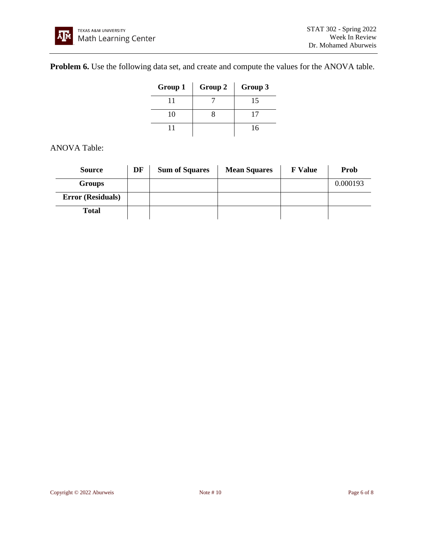## **Problem 6.** Use the following data set, and create and compute the values for the ANOVA table.

| Group 1 | Group 2 | Group 3 |
|---------|---------|---------|
|         |         | 15      |
| 10      |         | 17      |
|         |         | 16      |

## ANOVA Table:

| <b>Source</b>            | DF | <b>Sum of Squares</b> | <b>Mean Squares</b> | <b>F</b> Value | Prob     |
|--------------------------|----|-----------------------|---------------------|----------------|----------|
| <b>Groups</b>            |    |                       |                     |                | 0.000193 |
| <b>Error (Residuals)</b> |    |                       |                     |                |          |
| <b>Total</b>             |    |                       |                     |                |          |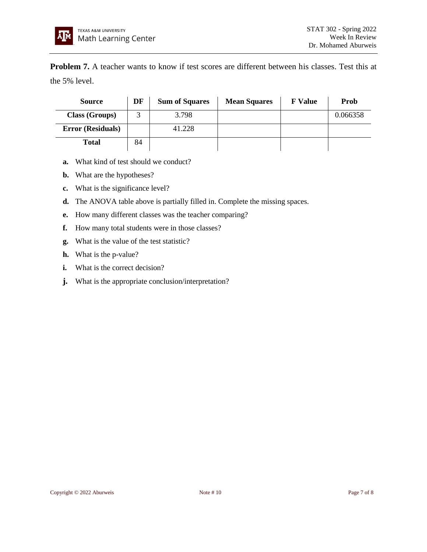**Problem 7.** A teacher wants to know if test scores are different between his classes. Test this at the 5% level.

| <b>Source</b>            | DF | <b>Sum of Squares</b> | <b>Mean Squares</b> | <b>F</b> Value | Prob     |
|--------------------------|----|-----------------------|---------------------|----------------|----------|
| Class (Groups)           |    | 3.798                 |                     |                | 0.066358 |
| <b>Error (Residuals)</b> |    | 41.228                |                     |                |          |
| <b>Total</b>             | 84 |                       |                     |                |          |

- **a.** What kind of test should we conduct?
- **b.** What are the hypotheses?
- **c.** What is the significance level?
- **d.** The ANOVA table above is partially filled in. Complete the missing spaces.
- **e.** How many different classes was the teacher comparing?
- **f.** How many total students were in those classes?
- **g.** What is the value of the test statistic?
- **h.** What is the p-value?
- **i.** What is the correct decision?
- **j.** What is the appropriate conclusion/interpretation?